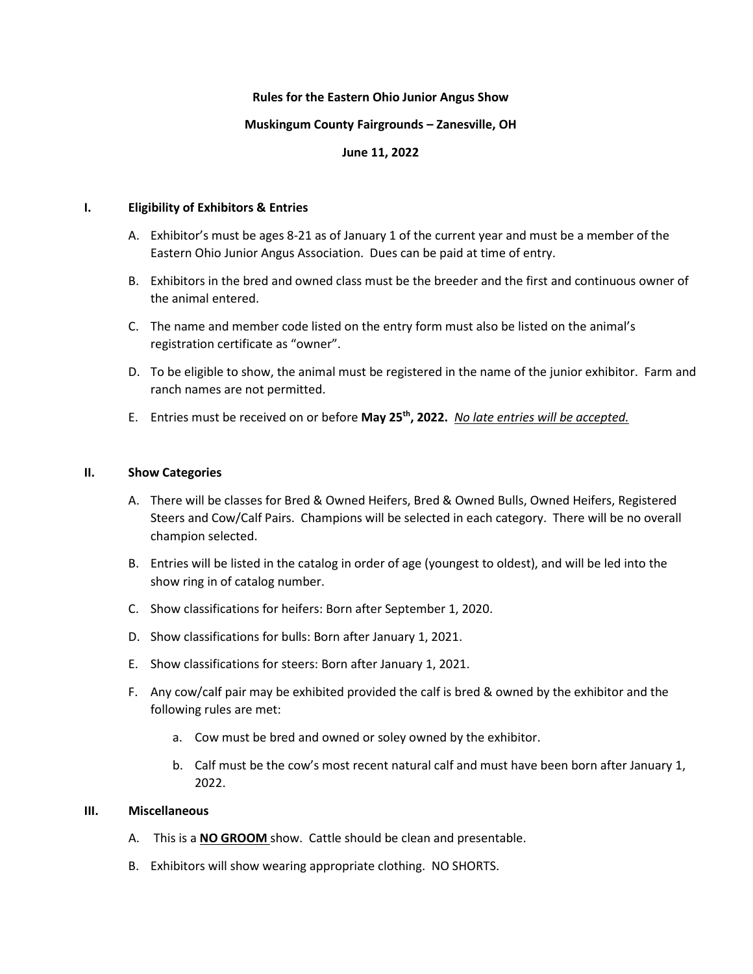## **Rules for the Eastern Ohio Junior Angus Show**

#### **Muskingum County Fairgrounds – Zanesville, OH**

# **June 11, 2022**

#### **I. Eligibility of Exhibitors & Entries**

- A. Exhibitor's must be ages 8-21 as of January 1 of the current year and must be a member of the Eastern Ohio Junior Angus Association. Dues can be paid at time of entry.
- B. Exhibitors in the bred and owned class must be the breeder and the first and continuous owner of the animal entered.
- C. The name and member code listed on the entry form must also be listed on the animal's registration certificate as "owner".
- D. To be eligible to show, the animal must be registered in the name of the junior exhibitor. Farm and ranch names are not permitted.
- E. Entries must be received on or before **May 25th, 2022.** *No late entries will be accepted.*

## **II. Show Categories**

- A. There will be classes for Bred & Owned Heifers, Bred & Owned Bulls, Owned Heifers, Registered Steers and Cow/Calf Pairs. Champions will be selected in each category. There will be no overall champion selected.
- B. Entries will be listed in the catalog in order of age (youngest to oldest), and will be led into the show ring in of catalog number.
- C. Show classifications for heifers: Born after September 1, 2020.
- D. Show classifications for bulls: Born after January 1, 2021.
- E. Show classifications for steers: Born after January 1, 2021.
- F. Any cow/calf pair may be exhibited provided the calf is bred & owned by the exhibitor and the following rules are met:
	- a. Cow must be bred and owned or soley owned by the exhibitor.
	- b. Calf must be the cow's most recent natural calf and must have been born after January 1, 2022.

# **III. Miscellaneous**

- A. This is a **NO GROOM** show. Cattle should be clean and presentable.
- B. Exhibitors will show wearing appropriate clothing. NO SHORTS.